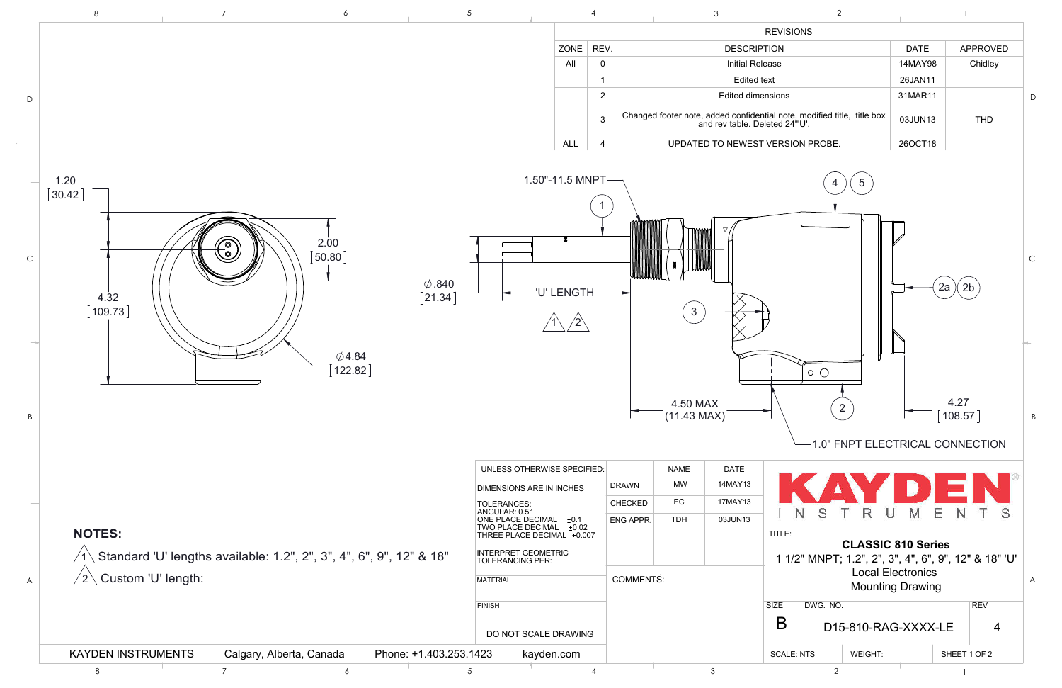

| $\,8\,$<br>6                                                                                                                                                                                         | 5                                                                                                                  |                |                                                                                                          | 3                      |                                  | $\overline{2}$                                                       |                                                     |                                  |                |
|------------------------------------------------------------------------------------------------------------------------------------------------------------------------------------------------------|--------------------------------------------------------------------------------------------------------------------|----------------|----------------------------------------------------------------------------------------------------------|------------------------|----------------------------------|----------------------------------------------------------------------|-----------------------------------------------------|----------------------------------|----------------|
|                                                                                                                                                                                                      |                                                                                                                    |                |                                                                                                          |                        | <b>REVISIONS</b>                 |                                                                      |                                                     |                                  |                |
|                                                                                                                                                                                                      | ZONE   REV.                                                                                                        |                |                                                                                                          | <b>DESCRIPTION</b>     |                                  |                                                                      | <b>DATE</b>                                         | APPROVED                         |                |
|                                                                                                                                                                                                      | All                                                                                                                | $\mathbf 0$    |                                                                                                          | <b>Initial Release</b> |                                  |                                                                      | 14MAY98                                             |                                  | Chidley        |
|                                                                                                                                                                                                      |                                                                                                                    |                |                                                                                                          | <b>Edited text</b>     |                                  |                                                                      | 26JAN11                                             |                                  |                |
|                                                                                                                                                                                                      |                                                                                                                    | $\overline{2}$ |                                                                                                          | Edited dimensions      |                                  |                                                                      | 31MAR11                                             |                                  |                |
|                                                                                                                                                                                                      |                                                                                                                    | $\mathbf{3}$   | Changed footer note, added confidential note, modified title, title box<br>and rev table. Deleted 24"U'. |                        |                                  |                                                                      | 03JUN13                                             |                                  | <b>THD</b>     |
|                                                                                                                                                                                                      | <b>ALL</b>                                                                                                         | $\overline{4}$ |                                                                                                          |                        | UPDATED TO NEWEST VERSION PROBE. |                                                                      | 26OCT18                                             |                                  |                |
| [30.42]<br>2.00<br>$\begin{matrix} \begin{matrix} \mathbb{O} \end{matrix} \end{matrix}$<br>[50.80]<br>$\emptyset$ .840<br>$\left[21.34\right]$<br>4.32<br>[109.73]<br>$\emptyset$ 4.84<br>$[122.82]$ | <b>'U' LENGTH</b>                                                                                                  |                | $\mathbf{3}$<br>4.50 MAX<br>$(11.43$ MAX)                                                                |                        | $\circ$ $\circ$                  | $5\overline{)}$<br>$\overline{2}$<br>1.0" FNPT ELECTRICAL CONNECTION |                                                     | $2a \nvert 2b$<br>4.27<br>108.57 |                |
|                                                                                                                                                                                                      |                                                                                                                    |                |                                                                                                          |                        |                                  |                                                                      |                                                     |                                  |                |
|                                                                                                                                                                                                      | UNLESS OTHERWISE SPECIFIED:                                                                                        |                | <b>NAME</b><br>MW                                                                                        | <b>DATE</b>            |                                  |                                                                      |                                                     |                                  |                |
|                                                                                                                                                                                                      | <b>DIMENSIONS ARE IN INCHES</b>                                                                                    |                | <b>DRAWN</b>                                                                                             | 14MAY13                |                                  |                                                                      |                                                     |                                  |                |
|                                                                                                                                                                                                      |                                                                                                                    |                | EC<br><b>CHECKED</b>                                                                                     | 17MAY13                | <sub>S</sub><br>N                | R<br>υ                                                               | M<br>Ε                                              |                                  | S              |
|                                                                                                                                                                                                      |                                                                                                                    |                | <b>TDH</b><br>ENG APPR.                                                                                  | 03JUN13                |                                  |                                                                      |                                                     |                                  |                |
|                                                                                                                                                                                                      |                                                                                                                    |                |                                                                                                          |                        | TITLE:                           |                                                                      | <b>CLASSIC 810 Series</b>                           |                                  |                |
| <b>NOTES:</b>                                                                                                                                                                                        | TOLERANCES:<br>ANGULAR: 0.5°<br>ONE PLACE DECIMAL = 0.1<br>TWO PLACE DECIMAL = 0.02<br>THREE PLACE DECIMAL = 0.007 |                |                                                                                                          |                        |                                  |                                                                      |                                                     |                                  |                |
|                                                                                                                                                                                                      |                                                                                                                    |                |                                                                                                          |                        |                                  |                                                                      |                                                     |                                  |                |
| Standard 'U' lengths available: 1.2", 2", 3", 4", 6", 9", 12" & 18"<br>Custom 'U' length:<br>$^{\prime}$ 2 $\backslash$                                                                              | INTERPRET GEOMETRIC<br>TOLERANCING PER:<br><b>MATERIAL</b>                                                         |                | <b>COMMENTS:</b>                                                                                         |                        |                                  | 1 1/2" MNPT; 1.2", 2", 3", 4", 6", 9", 12" & 18" 'U'                 | <b>Local Electronics</b><br><b>Mounting Drawing</b> |                                  |                |
|                                                                                                                                                                                                      |                                                                                                                    |                |                                                                                                          |                        |                                  |                                                                      |                                                     |                                  |                |
|                                                                                                                                                                                                      | <b>FINISH</b>                                                                                                      |                |                                                                                                          |                        | DWG. NO.<br><b>SIZE</b>          |                                                                      |                                                     | <b>REV</b>                       |                |
|                                                                                                                                                                                                      | DO NOT SCALE DRAWING                                                                                               |                |                                                                                                          |                        | B                                | D15-810-RAG-XXXX-LE                                                  |                                                     |                                  | $\overline{4}$ |